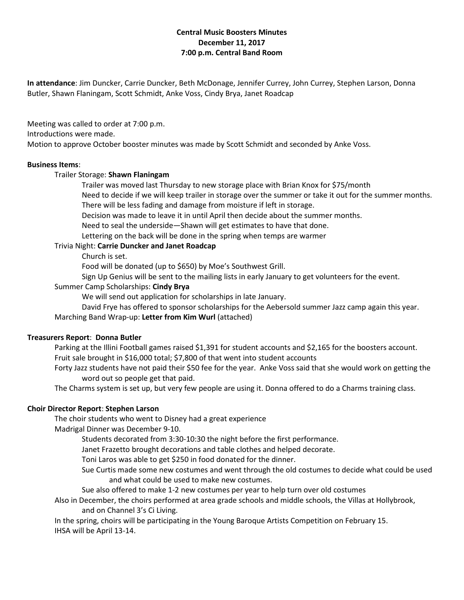## **Central Music Boosters Minutes December 11, 2017 7:00 p.m. Central Band Room**

**In attendance**: Jim Duncker, Carrie Duncker, Beth McDonage, Jennifer Currey, John Currey, Stephen Larson, Donna Butler, Shawn Flaningam, Scott Schmidt, Anke Voss, Cindy Brya, Janet Roadcap

Meeting was called to order at 7:00 p.m. Introductions were made. Motion to approve October booster minutes was made by Scott Schmidt and seconded by Anke Voss.

#### **Business Items**:

## Trailer Storage: **Shawn Flaningam**

Trailer was moved last Thursday to new storage place with Brian Knox for \$75/month

Need to decide if we will keep trailer in storage over the summer or take it out for the summer months. There will be less fading and damage from moisture if left in storage.

Decision was made to leave it in until April then decide about the summer months.

Need to seal the underside—Shawn will get estimates to have that done.

Lettering on the back will be done in the spring when temps are warmer

## Trivia Night: **Carrie Duncker and Janet Roadcap**

Church is set.

Food will be donated (up to \$650) by Moe's Southwest Grill.

Sign Up Genius will be sent to the mailing lists in early January to get volunteers for the event.

## Summer Camp Scholarships: **Cindy Brya**

We will send out application for scholarships in late January.

David Frye has offered to sponsor scholarships for the Aebersold summer Jazz camp again this year.

# Marching Band Wrap-up: **Letter from Kim Wurl** (attached)

## **Treasurers Report**: **Donna Butler**

Parking at the Illini Football games raised \$1,391 for student accounts and \$2,165 for the boosters account. Fruit sale brought in \$16,000 total; \$7,800 of that went into student accounts

Forty Jazz students have not paid their \$50 fee for the year. Anke Voss said that she would work on getting the word out so people get that paid.

The Charms system is set up, but very few people are using it. Donna offered to do a Charms training class.

## **Choir Director Report**: **Stephen Larson**

The choir students who went to Disney had a great experience

Madrigal Dinner was December 9-10.

Students decorated from 3:30-10:30 the night before the first performance.

Janet Frazetto brought decorations and table clothes and helped decorate.

Toni Laros was able to get \$250 in food donated for the dinner.

Sue Curtis made some new costumes and went through the old costumes to decide what could be used and what could be used to make new costumes.

Sue also offered to make 1-2 new costumes per year to help turn over old costumes

Also in December, the choirs performed at area grade schools and middle schools, the Villas at Hollybrook, and on Channel 3's Ci Living.

In the spring, choirs will be participating in the Young Baroque Artists Competition on February 15. IHSA will be April 13-14.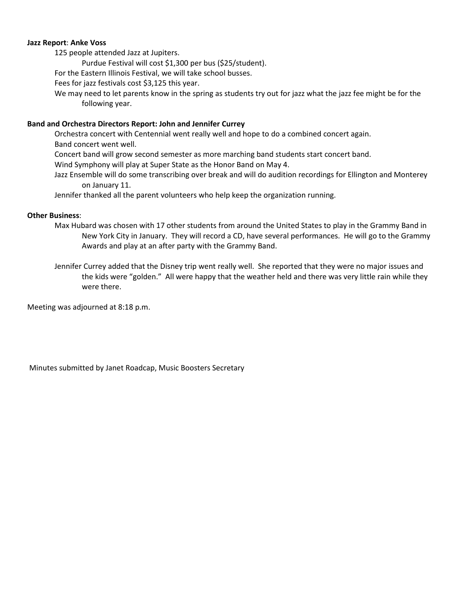#### **Jazz Report**: **Anke Voss**

125 people attended Jazz at Jupiters.

Purdue Festival will cost \$1,300 per bus (\$25/student).

For the Eastern Illinois Festival, we will take school busses.

Fees for jazz festivals cost \$3,125 this year.

We may need to let parents know in the spring as students try out for jazz what the jazz fee might be for the following year.

#### **Band and Orchestra Directors Report: John and Jennifer Currey**

Orchestra concert with Centennial went really well and hope to do a combined concert again. Band concert went well.

Concert band will grow second semester as more marching band students start concert band.

Wind Symphony will play at Super State as the Honor Band on May 4.

Jazz Ensemble will do some transcribing over break and will do audition recordings for Ellington and Monterey on January 11.

Jennifer thanked all the parent volunteers who help keep the organization running.

## **Other Business**:

Max Hubard was chosen with 17 other students from around the United States to play in the Grammy Band in New York City in January. They will record a CD, have several performances. He will go to the Grammy Awards and play at an after party with the Grammy Band.

Jennifer Currey added that the Disney trip went really well. She reported that they were no major issues and the kids were "golden." All were happy that the weather held and there was very little rain while they were there.

Meeting was adjourned at 8:18 p.m.

Minutes submitted by Janet Roadcap, Music Boosters Secretary